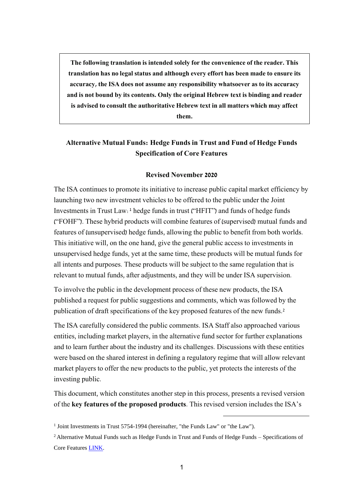**The following translation is intended solely for the convenience of the reader. This translation has no legal status and although every effort has been made to ensure its accuracy, the ISA does not assume any responsibility whatsoever as to its accuracy and is not bound by its contents. Only the original Hebrew text is binding and reader is advised to consult the authoritative Hebrew text in all matters which may affect them.**

## **Alternative Mutual Funds: Hedge Funds in Trust and Fund of Hedge Funds Specification of Core Features**

## **Revised November 2020**

The ISA continues to promote its initiative to increase public capital market efficiency by launching two new investment vehicles to be offered to the public under the Joint Investments in Trust Law:<sup>1</sup> hedge funds in trust ("HFIT") and funds of hedge funds ("FOHF"). These hybrid products will combine features of (supervised) mutual funds and features of (unsupervised) hedge funds, allowing the public to benefit from both worlds. This initiative will, on the one hand, give the general public access to investments in unsupervised hedge funds, yet at the same time, these products will be mutual funds for all intents and purposes. These products will be subject to the same regulation that is relevant to mutual funds, after adjustments, and they will be under ISA supervision.

To involve the public in the development process of these new products, the ISA published a request for public suggestions and comments, which was followed by the publication of draft specifications of the key proposed features of the new funds.<sup>2</sup>

The ISA carefully considered the public comments. ISA Staff also approached various entities, including market players, in the alternative fund sector for further explanations and to learn further about the industry and its challenges. Discussions with these entities were based on the shared interest in defining a regulatory regime that will allow relevant market players to offer the new products to the public, yet protects the interests of the investing public.

This document, which constitutes another step in this process, presents a revised version of the **key features of the proposed products**. This revised version includes the ISA's

1

<sup>&</sup>lt;sup>1</sup> Joint Investments in Trust 5754-1994 (hereinafter, "the Funds Law" or "the Law").

<sup>&</sup>lt;sup>2</sup> Alternative Mutual Funds such as Hedge Funds in Trust and Funds of Hedge Funds – Specifications of Core Features [LINK.](https://www.isa.gov.il/sites/ISAEng/1489/Calls_for_Comments/Documents/HedgeFundsSpecifications.pdf)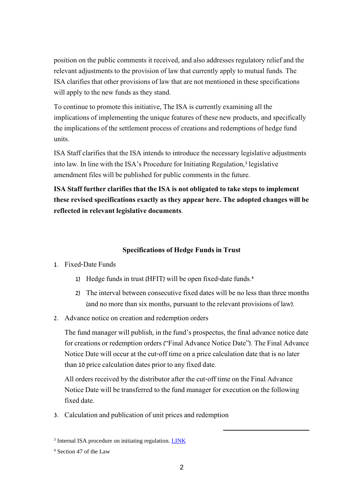position on the public comments it received, and also addresses regulatory relief and the relevant adjustments to the provision of law that currently apply to mutual funds. The ISA clarifies that other provisions of law that are not mentioned in these specifications will apply to the new funds as they stand.

To continue to promote this initiative, The ISA is currently examining all the implications of implementing the unique features of these new products, and specifically the implications of the settlement process of creations and redemptions of hedge fund units.

ISA Staff clarifies that the ISA intends to introduce the necessary legislative adjustments into law. In line with the ISA's Procedure for Initiating Regulation,<sup>3</sup> legislative amendment files will be published for public comments in the future.

**ISA Staff further clarifies that the ISA is not obligated to take steps to implement these revised specifications exactly as they appear here. The adopted changes will be reflected in relevant legislative documents**.

## **Specifications of Hedge Funds in Trust**

1. Fixed-Date Funds

- 1) Hedge funds in trust (HFIT) will be open fixed-date funds.<sup>4</sup>
- 2) The interval between consecutive fixed dates will be no less than three months (and no more than six months, pursuant to the relevant provisions of law).
- 2. Advance notice on creation and redemption orders

The fund manager will publish, in the fund's prospectus, the final advance notice date for creations or redemption orders ("Final Advance Notice Date"). The Final Advance Notice Date will occur at the cut-off time on a price calculation date that is no later than 10 price calculation dates prior to any fixed date.

All orders received by the distributor after the cut-off time on the Final Advance Notice Date will be transferred to the fund manager for execution on the following fixed date.

**.** 

3. Calculation and publication of unit prices and redemption

<sup>&</sup>lt;sup>3</sup> Internal ISA procedure on initiating regulation. **LINK** 

<sup>4</sup> Section 47 of the Law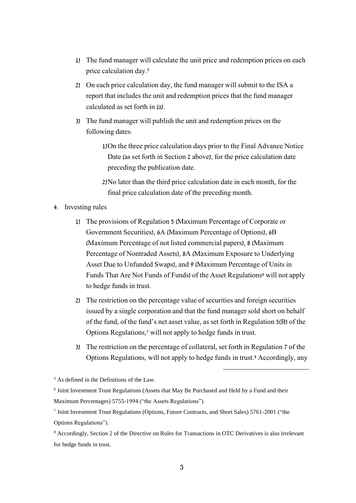- 1) The fund manager will calculate the unit price and redemption prices on each price calculation day. 5
- 2) On each price calculation day, the fund manager will submit to the ISA a report that includes the unit and redemption prices that the fund manager calculated as set forth in (a).
- 3) The fund manager will publish the unit and redemption prices on the following dates:
	- 1)On the three price calculation days prior to the Final Advance Notice Date (as set forth in Section 2 above), for the price calculation date preceding the publication date.
	- 2)No later than the third price calculation date in each month, for the final price calculation date of the preceding month.
- 4. Investing rules
	- 1) The provisions of Regulation 5 (Maximum Percentage of Corporate or Government Securities), 6A (Maximum Percentage of Options), 6B (Maximum Percentage of not listed commercial papers), 8 (Maximum Percentage of Nontraded Assets), 8A (Maximum Exposure to Underlying Asset Due to Unfunded Swaps), and 9 (Maximum Percentage of Units in Funds That Are Not Funds of Funds) of the Asset Regulations<sup>6</sup> will not apply to hedge funds in trust.
	- 2) The restriction on the percentage value of securities and foreign securities issued by a single corporation and that the fund manager sold short on behalf of the fund, of the fund's net asset value, as set forth in Regulation 5(B) of the Options Regulations,<sup>7</sup> will not apply to hedge funds in trust.
	- 3) The restriction on the percentage of collateral, set forth in Regulation 7 of the Options Regulations, will not apply to hedge funds in trust.<sup>8</sup> Accordingly, any

 $<sup>5</sup>$  As defined in the Definitions of the Law.</sup>

<sup>&</sup>lt;sup>6</sup> Joint Investment Trust Regulations (Assets that May Be Purchased and Held by a Fund and their Maximum Percentages) 5755-1994 ("the Assets Regulations").

<sup>7</sup> Joint Investment Trust Regulations (Options, Future Contracts, and Short Sales) 5761-2001 ("the Options Regulations").

<sup>8</sup> Accordingly, Section 2 of the Directive on Rules for Transactions in OTC Derivatives is also irrelevant for hedge funds in trust.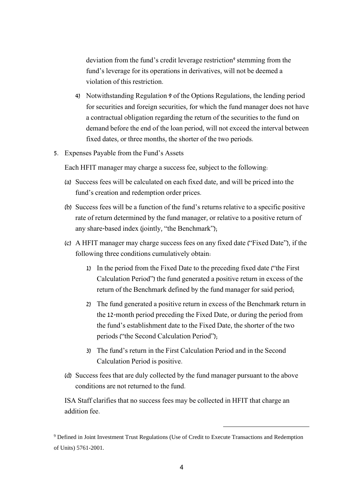deviation from the fund's credit leverage restriction<sup>9</sup> stemming from the fund's leverage for its operations in derivatives, will not be deemed a violation of this restriction.

- 4) Notwithstanding Regulation 9 of the Options Regulations, the lending period for securities and foreign securities, for which the fund manager does not have a contractual obligation regarding the return of the securities to the fund on demand before the end of the loan period, will not exceed the interval between fixed dates, or three months, the shorter of the two periods.
- 5. Expenses Payable from the Fund's Assets

Each HFIT manager may charge a success fee, subject to the following:

- (a) Success fees will be calculated on each fixed date, and will be priced into the fund's creation and redemption order prices.
- (b) Success fees will be a function of the fund's returns relative to a specific positive rate of return determined by the fund manager, or relative to a positive return of any share-based index (jointly, "the Benchmark");
- (c) A HFIT manager may charge success fees on any fixed date ("Fixed Date"), if the following three conditions cumulatively obtain:
	- 1) In the period from the Fixed Date to the preceding fixed date ("the First Calculation Period") the fund generated a positive return in excess of the return of the Benchmark defined by the fund manager for said period;
	- 2) The fund generated a positive return in excess of the Benchmark return in the 12-month period preceding the Fixed Date, or during the period from the fund's establishment date to the Fixed Date, the shorter of the two periods ("the Second Calculation Period");
	- 3) The fund's return in the First Calculation Period and in the Second Calculation Period is positive.
- (d) Success fees that are duly collected by the fund manager pursuant to the above conditions are not returned to the fund.

ISA Staff clarifies that no success fees may be collected in HFIT that charge an addition fee.

<sup>9</sup> Defined in Joint Investment Trust Regulations (Use of Credit to Execute Transactions and Redemption of Units) 5761-2001.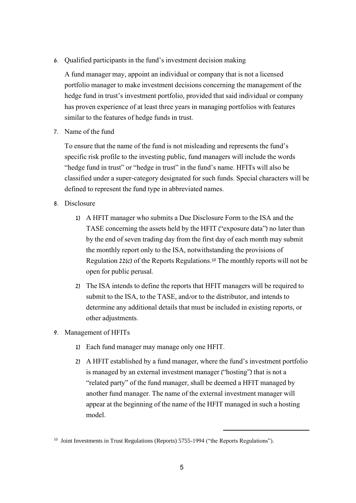6. Qualified participants in the fund's investment decision making

A fund manager may, appoint an individual or company that is not a licensed portfolio manager to make investment decisions concerning the management of the hedge fund in trust's investment portfolio, provided that said individual or company has proven experience of at least three years in managing portfolios with features similar to the features of hedge funds in trust.

7. Name of the fund

To ensure that the name of the fund is not misleading and represents the fund's specific risk profile to the investing public, fund managers will include the words "hedge fund in trust" or "hedge in trust" in the fund's name. HFITs will also be classified under a super-category designated for such funds. Special characters will be defined to represent the fund type in abbreviated names.

- 8. Disclosure
	- 1) A HFIT manager who submits a Due Disclosure Form to the ISA and the TASE concerning the assets held by the HFIT ("exposure data") no later than by the end of seven trading day from the first day of each month may submit the monthly report only to the ISA, notwithstanding the provisions of Regulation 22(c) of the Reports Regulations. <sup>10</sup> The monthly reports will not be open for public perusal.
	- 2) The ISA intends to define the reports that HFIT managers will be required to submit to the ISA, to the TASE, and/or to the distributor, and intends to determine any additional details that must be included in existing reports, or other adjustments.
- 9. Management of HFITs
	- 1) Each fund manager may manage only one HFIT.
	- 2) A HFIT established by a fund manager, where the fund's investment portfolio is managed by an external investment manager ("hosting") that is not a "related party" of the fund manager, shall be deemed a HFIT managed by another fund manager. The name of the external investment manager will appear at the beginning of the name of the HFIT managed in such a hosting model.

<sup>&</sup>lt;sup>10</sup> Joint Investments in Trust Regulations (Reports) 5755-1994 ("the Reports Regulations").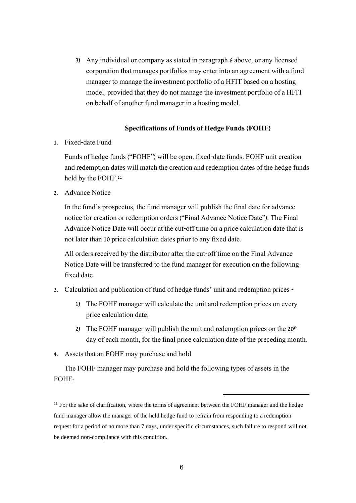3) Any individual or company as stated in paragraph 6 above, or any licensed corporation that manages portfolios may enter into an agreement with a fund manager to manage the investment portfolio of a HFIT based on a hosting model, provided that they do not manage the investment portfolio of a HFIT on behalf of another fund manager in a hosting model.

## **Specifications of Funds of Hedge Funds (FOHF)**

1. Fixed-date Fund

Funds of hedge funds ("FOHF") will be open, fixed-date funds. FOHF unit creation and redemption dates will match the creation and redemption dates of the hedge funds held by the FOHF.<sup>11</sup>

2. Advance Notice

In the fund's prospectus, the fund manager will publish the final date for advance notice for creation or redemption orders ("Final Advance Notice Date"). The Final Advance Notice Date will occur at the cut-off time on a price calculation date that is not later than 10 price calculation dates prior to any fixed date.

All orders received by the distributor after the cut-off time on the Final Advance Notice Date will be transferred to the fund manager for execution on the following fixed date.

- 3. Calculation and publication of fund of hedge funds' unit and redemption prices
	- 1) The FOHF manager will calculate the unit and redemption prices on every price calculation date;
	- 2) The FOHF manager will publish the unit and redemption prices on the 20<sup>th</sup> day of each month, for the final price calculation date of the preceding month.

**.** 

4. Assets that an FOHF may purchase and hold

The FOHF manager may purchase and hold the following types of assets in the FOHF:

<sup>11</sup> For the sake of clarification, where the terms of agreement between the FOHF manager and the hedge fund manager allow the manager of the held hedge fund to refrain from responding to a redemption request for a period of no more than 7 days, under specific circumstances, such failure to respond will not be deemed non-compliance with this condition.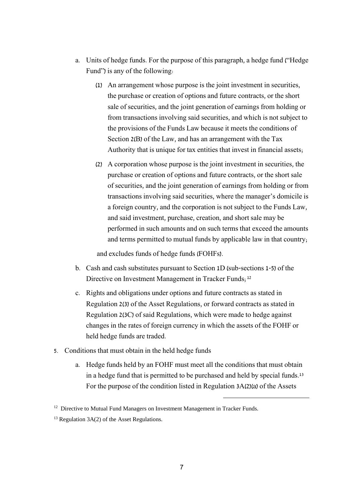- a. Units of hedge funds. For the purpose of this paragraph, a hedge fund ("Hedge Fund") is any of the following:
	- (1) An arrangement whose purpose is the joint investment in securities, the purchase or creation of options and future contracts, or the short sale of securities, and the joint generation of earnings from holding or from transactions involving said securities, and which is not subject to the provisions of the Funds Law because it meets the conditions of Section 2(B) of the Law, and has an arrangement with the Tax Authority that is unique for tax entities that invest in financial assets;
	- (2) A corporation whose purpose is the joint investment in securities, the purchase or creation of options and future contracts, or the short sale of securities, and the joint generation of earnings from holding or from transactions involving said securities, where the manager's domicile is a foreign country, and the corporation is not subject to the Funds Law, and said investment, purchase, creation, and short sale may be performed in such amounts and on such terms that exceed the amounts and terms permitted to mutual funds by applicable law in that country;

and excludes funds of hedge funds (FOHFs).

- b. Cash and cash substitutes pursuant to Section 1D (sub-sections 1-5) of the Directive on Investment Management in Tracker Funds;<sup>12</sup>
- c. Rights and obligations under options and future contracts as stated in Regulation 2(3) of the Asset Regulations, or forward contracts as stated in Regulation 2(3C) of said Regulations, which were made to hedge against changes in the rates of foreign currency in which the assets of the FOHF or held hedge funds are traded.
- 5. Conditions that must obtain in the held hedge funds
	- a. Hedge funds held by an FOHF must meet all the conditions that must obtain in a hedge fund that is permitted to be purchased and held by special funds. 13 For the purpose of the condition listed in Regulation 3A(2)(a) of the Assets

<sup>&</sup>lt;sup>12</sup> Directive to Mutual Fund Managers on Investment Management in Tracker Funds.

 $13$  Regulation 3A(2) of the Asset Regulations.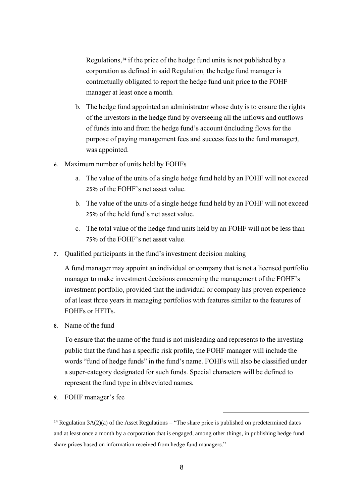Regulations,<sup>14</sup> if the price of the hedge fund units is not published by a corporation as defined in said Regulation, the hedge fund manager is contractually obligated to report the hedge fund unit price to the FOHF manager at least once a month.

- b. The hedge fund appointed an administrator whose duty is to ensure the rights of the investors in the hedge fund by overseeing all the inflows and outflows of funds into and from the hedge fund's account (including flows for the purpose of paying management fees and success fees to the fund manager), was appointed.
- 6. Maximum number of units held by FOHFs
	- a. The value of the units of a single hedge fund held by an FOHF will not exceed 25% of the FOHF's net asset value.
	- b. The value of the units of a single hedge fund held by an FOHF will not exceed 25% of the held fund's net asset value.
	- c. The total value of the hedge fund units held by an FOHF will not be less than 75% of the FOHF's net asset value.
- 7. Qualified participants in the fund's investment decision making

A fund manager may appoint an individual or company that is not a licensed portfolio manager to make investment decisions concerning the management of the FOHF's investment portfolio, provided that the individual or company has proven experience of at least three years in managing portfolios with features similar to the features of FOHFs or HFITs.

8. Name of the fund

To ensure that the name of the fund is not misleading and represents to the investing public that the fund has a specific risk profile, the FOHF manager will include the words "fund of hedge funds" in the fund's name. FOHFs will also be classified under a super-category designated for such funds. Special characters will be defined to represent the fund type in abbreviated names.

**.** 

9. FOHF manager's fee

<sup>&</sup>lt;sup>14</sup> Regulation  $3A(2)(a)$  of the Asset Regulations – "The share price is published on predetermined dates and at least once a month by a corporation that is engaged, among other things, in publishing hedge fund share prices based on information received from hedge fund managers."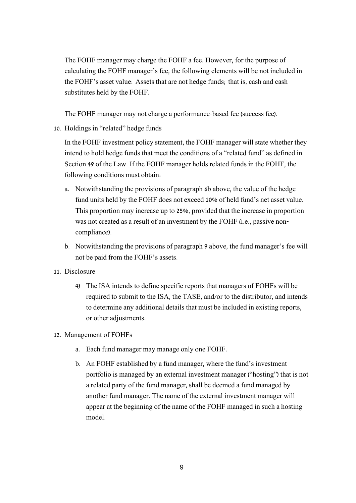The FOHF manager may charge the FOHF a fee. However, for the purpose of calculating the FOHF manager's fee, the following elements will be not included in the FOHF's asset value: Assets that are not hedge funds; that is, cash and cash substitutes held by the FOHF.

The FOHF manager may not charge a performance-based fee (success fee).

10. Holdings in "related" hedge funds

In the FOHF investment policy statement, the FOHF manager will state whether they intend to hold hedge funds that meet the conditions of a "related fund" as defined in Section 49 of the Law. If the FOHF manager holds related funds in the FOHF, the following conditions must obtain:

- a. Notwithstanding the provisions of paragraph 6b above, the value of the hedge fund units held by the FOHF does not exceed 10% of held fund's net asset value. This proportion may increase up to 25%, provided that the increase in proportion was not created as a result of an investment by the FOHF (i.e., passive noncompliance).
- b. Notwithstanding the provisions of paragraph 9 above, the fund manager's fee will not be paid from the FOHF's assets.
- 11. Disclosure
	- 4) The ISA intends to define specific reports that managers of FOHFs will be required to submit to the ISA, the TASE, and/or to the distributor, and intends to determine any additional details that must be included in existing reports, or other adjustments.
- 12. Management of FOHFs
	- a. Each fund manager may manage only one FOHF.
	- b. An FOHF established by a fund manager, where the fund's investment portfolio is managed by an external investment manager ("hosting") that is not a related party of the fund manager, shall be deemed a fund managed by another fund manager. The name of the external investment manager will appear at the beginning of the name of the FOHF managed in such a hosting model.